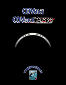



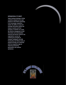# **INTEGRATION AT ITS BEST!**

**Today's business landscape is being constantly reshaped by the rapid progress of information technology. In an increasingly competitive market, the ability to access and exchange information quickly and simply, at anytime and from anywhere, is essential. As a result, the effective management of both information and communication resources has become critical to any organization's success. By combining the strengths of computer intelligence with PBX functionality, the COVoice family of products provides your enterprise with the competitive edge by enhancing productivity, performance, and customer satisfaction.**

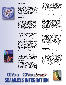# **INNOVATION**





COVoice and COVoice Express the innovative definition of true Computer Telephony (CT) offering full-featured CT voice processing solutions for Mitel's family of PBX switches, from the SX-50 to the SX-2000. The COVoice family of products provides you with powerful, intelligent, versatility in a variety of robust platform options, providing you with the opportunity to sit back and experience excellence.

Enjoy the ride....

# **VERSATILITY**

The COVoice family of products are designed to offer powerful, scalable and robust CT solutions. Both COVoice and COVoice Express use the same software, allowing all features to be available on both systems. The differentiating factor is port capacity. COVoice Express is available in 2 or 4 port configurations, while COVoice scales from 2 to 24 port configurations. Both products provide maximum performance to meet cost and functionality demands, offering flexible configurations to suit your ever-changing business needs.

# **EXCELLENCE**

The COVoice product family offers the highest level of seamless integration available by using only Mitel Certified PC-based COV interface cards. The systems use this advanced computer telephony (CT) integration technology to emulate the Mitel Superset Telephone. Using this technology, they are able to support all soft key, hard key, speed call key and display functionality of the Superset telephone. What this means to the PBX is that the system is just another telephone, possibly like the one sitting on your desk, what it means to you is 100% seamless integration. They don't just "act" like telephones, they function as full featured telephone devices. By emulating virtual telephones, they communicate directly with the Mitel PBX. All digital signal information sent from the PBX is read and then intelligently processed according to user-defined conditions. This intelligent, interactive communication solution allows both systems to perform cohesively as one product... computer telephony at its best! As a result they respond faster and more precisly to inbound calls and disconnects 20 to 30 % faster than competitive systems.

## **INTELLIGENT**

The schedule-oriented architecture promotes complete administrative control and flexibility over call processing. Callers can be intelligently routed using ANI/DNIS, extension, trunk, condition, time of day, day of week, or date. You can even schedule certain PBX functions to occur at any given time or date on any specific channel.

For example, you can program the system to automatically switch the PBX into night mode at a specific time each day or activate and deactivate a call center's ACD groups at specifically designated times. Now you can rely on the system to forward your telephone so you don't have to. You have more important things to do, delegate those tasks to COVoice.

# **POWERFUL**

These systems offer a powerful array of innovative features and application packages designed to create and implement your automated and personalized communication services. Many unique PBX-enhanced features are included with every COVoice and COVoice Express system. Some of these features are; ACD automated agent, ACD auto on/off, auto time sync to PBX, recording announcement device (RAD). Auto message pause on hold allows you to simply press the "Hold" key on your telephone to pause listening to your messages. This allows you to accept another call or speak to someone else briefly and quickly return to the message right where you left off. Auto call park-page and retrieve allows callers to prees a single key which instructs COVoice to place the caller on hold, place a call to the overhead paging system, announce a call for you and instruct you how to retrieve the waiting caller. This feature allows you move about your building and still answer your calls, all without tying up additional resources. Additionally, a hospitality package, developed specifically for hotel properties is included with each system. The hospitality package includes easy guest access to confidential, accurate and timely messages 24 hours a day, automated wake up calls, automatic routing to guest rooms and integration to the hotels' property management. The power is yours.

# **OPPORTUNITY**

By choosing the COVoice family of products today you are investing into the technology of tomorrow. Their intuitive design and superior feature set make light of your workload. Let COVoice simplify you daily routine by intelligently and intuitively handling all of your messaging and call-processing needs. COVoice and COVoice Express provide you with the opportunity to experience superior integration, powerful features, growth and versatility to meet your needs both today and in the future. The choice is yours and with COVoice and COVoice Express the choice is clear. No matter which one you choose you'll know you've made the right decision. To learn more about VSR's award winning products and services or to find an authorized VSR dealer near you, contact us at sales@vsrusa.com or visit our web site at www.vsrusa.com.

# **COVOICE COVOICE EXPRESS SEAMLESS INTEGRATION**